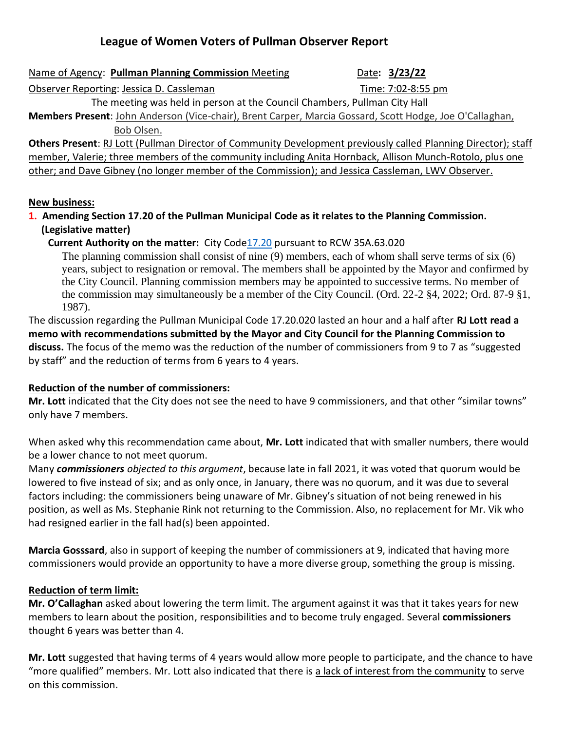# **League of Women Voters of Pullman Observer Report**

| Name of Agency: Pullman Planning Commission Meeting |  |
|-----------------------------------------------------|--|
|                                                     |  |

Date: 3/23/22

Observer Reporting: Jessica D. Cassleman Time: 7:02-8:55 pm

The meeting was held in person at the Council Chambers, Pullman City Hall

**Members Present**: John Anderson (Vice-chair), Brent Carper, Marcia Gossard, Scott Hodge, Joe O'Callaghan, Bob Olsen.

**Others Present**: RJ Lott (Pullman Director of Community Development previously called Planning Director); staff member, Valerie; three members of the community including Anita Hornback, Allison Munch-Rotolo, plus one other; and Dave Gibney (no longer member of the Commission); and Jessica Cassleman, LWV Observer.

### **New business:**

**1. Amending Section 17.20 of the Pullman Municipal Code as it relates to the Planning Commission. (Legislative matter)** 

**Current Authority on the matter:** City Cod[e17.20](https://pullman.municipal.codes/Code/17.20) pursuant to RCW 35A.63.020

The planning commission shall consist of nine (9) members, each of whom shall serve terms of six (6) years, subject to resignation or removal. The members shall be appointed by the Mayor and confirmed by the City Council. Planning commission members may be appointed to successive terms. No member of the commission may simultaneously be a member of the City Council. (Ord. 22-2 §4, 2022; Ord. 87-9 §1, 1987).

The discussion regarding the Pullman Municipal Code 17.20.020 lasted an hour and a half after **RJ Lott read a memo with recommendations submitted by the Mayor and City Council for the Planning Commission to discuss.** The focus of the memo was the reduction of the number of commissioners from 9 to 7 as "suggested by staff" and the reduction of terms from 6 years to 4 years.

# **Reduction of the number of commissioners:**

**Mr. Lott** indicated that the City does not see the need to have 9 commissioners, and that other "similar towns" only have 7 members.

When asked why this recommendation came about, **Mr. Lott** indicated that with smaller numbers, there would be a lower chance to not meet quorum.

Many *commissioners objected to this argument*, because late in fall 2021, it was voted that quorum would be lowered to five instead of six; and as only once, in January, there was no quorum, and it was due to several factors including: the commissioners being unaware of Mr. Gibney's situation of not being renewed in his position, as well as Ms. Stephanie Rink not returning to the Commission. Also, no replacement for Mr. Vik who had resigned earlier in the fall had(s) been appointed.

**Marcia Gosssard**, also in support of keeping the number of commissioners at 9, indicated that having more commissioners would provide an opportunity to have a more diverse group, something the group is missing.

# **Reduction of term limit:**

**Mr. O'Callaghan** asked about lowering the term limit. The argument against it was that it takes years for new members to learn about the position, responsibilities and to become truly engaged. Several **commissioners** thought 6 years was better than 4.

**Mr. Lott** suggested that having terms of 4 years would allow more people to participate, and the chance to have "more qualified" members. Mr. Lott also indicated that there is a lack of interest from the community to serve on this commission.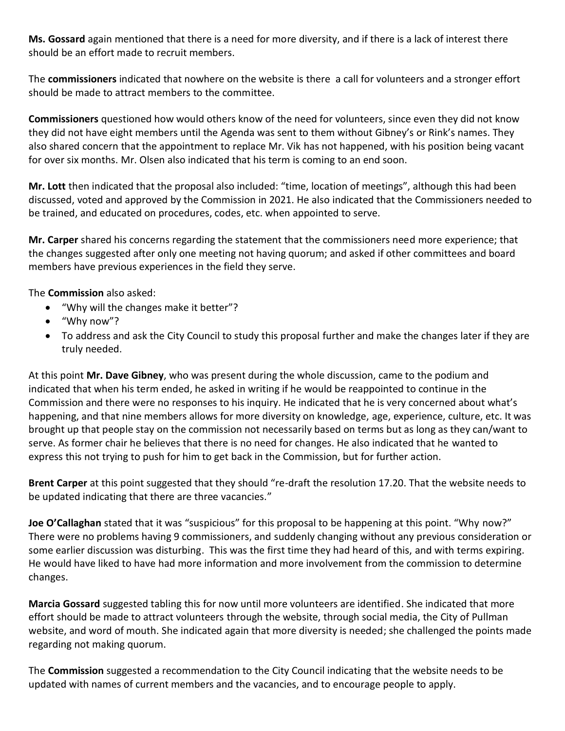**Ms. Gossard** again mentioned that there is a need for more diversity, and if there is a lack of interest there should be an effort made to recruit members.

The **commissioners** indicated that nowhere on the website is there a call for volunteers and a stronger effort should be made to attract members to the committee.

**Commissioners** questioned how would others know of the need for volunteers, since even they did not know they did not have eight members until the Agenda was sent to them without Gibney's or Rink's names. They also shared concern that the appointment to replace Mr. Vik has not happened, with his position being vacant for over six months. Mr. Olsen also indicated that his term is coming to an end soon.

**Mr. Lott** then indicated that the proposal also included: "time, location of meetings", although this had been discussed, voted and approved by the Commission in 2021. He also indicated that the Commissioners needed to be trained, and educated on procedures, codes, etc. when appointed to serve.

**Mr. Carper** shared his concerns regarding the statement that the commissioners need more experience; that the changes suggested after only one meeting not having quorum; and asked if other committees and board members have previous experiences in the field they serve.

The **Commission** also asked:

- "Why will the changes make it better"?
- "Why now"?
- To address and ask the City Council to study this proposal further and make the changes later if they are truly needed.

At this point **Mr. Dave Gibney**, who was present during the whole discussion, came to the podium and indicated that when his term ended, he asked in writing if he would be reappointed to continue in the Commission and there were no responses to his inquiry. He indicated that he is very concerned about what's happening, and that nine members allows for more diversity on knowledge, age, experience, culture, etc. It was brought up that people stay on the commission not necessarily based on terms but as long as they can/want to serve. As former chair he believes that there is no need for changes. He also indicated that he wanted to express this not trying to push for him to get back in the Commission, but for further action.

**Brent Carper** at this point suggested that they should "re-draft the resolution 17.20. That the website needs to be updated indicating that there are three vacancies."

**Joe O'Callaghan** stated that it was "suspicious" for this proposal to be happening at this point. "Why now?" There were no problems having 9 commissioners, and suddenly changing without any previous consideration or some earlier discussion was disturbing. This was the first time they had heard of this, and with terms expiring. He would have liked to have had more information and more involvement from the commission to determine changes.

**Marcia Gossard** suggested tabling this for now until more volunteers are identified. She indicated that more effort should be made to attract volunteers through the website, through social media, the City of Pullman website, and word of mouth. She indicated again that more diversity is needed; she challenged the points made regarding not making quorum.

The **Commission** suggested a recommendation to the City Council indicating that the website needs to be updated with names of current members and the vacancies, and to encourage people to apply.